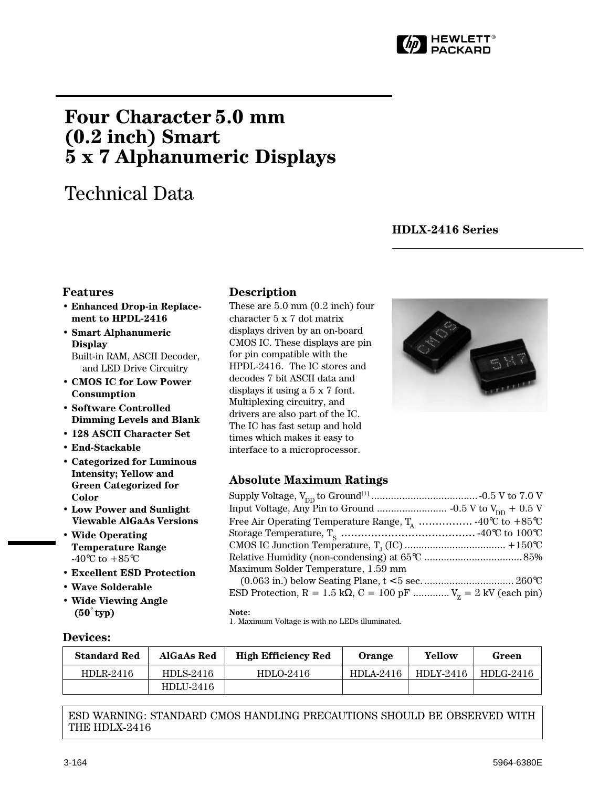

# <span id="page-0-0"></span>**Four Character 5.0 mm (0.2 inch) Smart 5 x 7 Alphanumeric Displays**

# Technical Data

# **HDLX-2416 Series**

# **Features**

- **Enhanced Drop-in Replacement to HPDL-2416**
- **Smart Alphanumeric Display** Built-in RAM, ASCII Decoder,
- and LED Drive Circuitry • **CMOS IC for Low Power**
- **Consumption** • **Software Controlled**
- **Dimming Levels and Blank**
- **128 ASCII Character Set**
- **End-Stackable**
- **Categorized for Luminous Intensity; Yellow and Green Categorized for Color**
- **Low Power and Sunlight Viewable AlGaAs Versions**
- **Wide Operating Temperature Range** -40 $^{\circ}$ C to +85 $^{\circ}$ C
- **Excellent ESD Protection**
- **Wave Solderable**

**Devices:**

• **Wide Viewing Angle (50**°  **typ)**

# **Description**

These are 5.0 mm (0.2 inch) four character 5 x 7 dot matrix displays driven by an on-board CMOS IC. These displays are pin for pin compatible with the HPDL-2416. The IC stores and decodes 7 bit ASCII data and displays it using a 5 x 7 font. Multiplexing circuitry, and drivers are also part of the IC. The IC has fast setup and hold times which makes it easy to interface to a microprocessor.



# **Absolute Maximum Ratings**

| Maximum Solder Temperature, 1.59 mm                                                                                                                                                                                                                                                                                                  |  |
|--------------------------------------------------------------------------------------------------------------------------------------------------------------------------------------------------------------------------------------------------------------------------------------------------------------------------------------|--|
|                                                                                                                                                                                                                                                                                                                                      |  |
| $\mathbf{m}$ $\mathbf{m}$ $\mathbf{n}$ $\mathbf{m}$ $\mathbf{m}$ $\mathbf{m}$ $\mathbf{m}$ $\mathbf{m}$ $\mathbf{m}$ $\mathbf{m}$ $\mathbf{m}$ $\mathbf{m}$ $\mathbf{m}$ $\mathbf{m}$ $\mathbf{m}$ $\mathbf{m}$ $\mathbf{m}$ $\mathbf{m}$ $\mathbf{m}$ $\mathbf{m}$ $\mathbf{m}$ $\mathbf{m}$ $\mathbf{m}$ $\mathbf{m}$ $\mathbf{m}$ |  |

ESD Protection, R = 1.5 kΩ, C = 100 pF ..............  $V_z = 2$  kV (each pin)

#### **Note:**

1. Maximum Voltage is with no LEDs illuminated.

| <b>Standard Red</b> | AlGaAs Red  | <b>High Efficiency Red</b> | Orange    | Yellow    | Green     |
|---------------------|-------------|----------------------------|-----------|-----------|-----------|
| HDLR-2416           | HDLS-2416   | HDLO-2416                  | HDLA-2416 | HDLY-2416 | HDLG-2416 |
|                     | $HDLI-2416$ |                            |           |           |           |

ESD WARNING: STANDARD CMOS HANDLING PRECAUTIONS SHOULD BE OBSERVED WITH THE HDLX-2416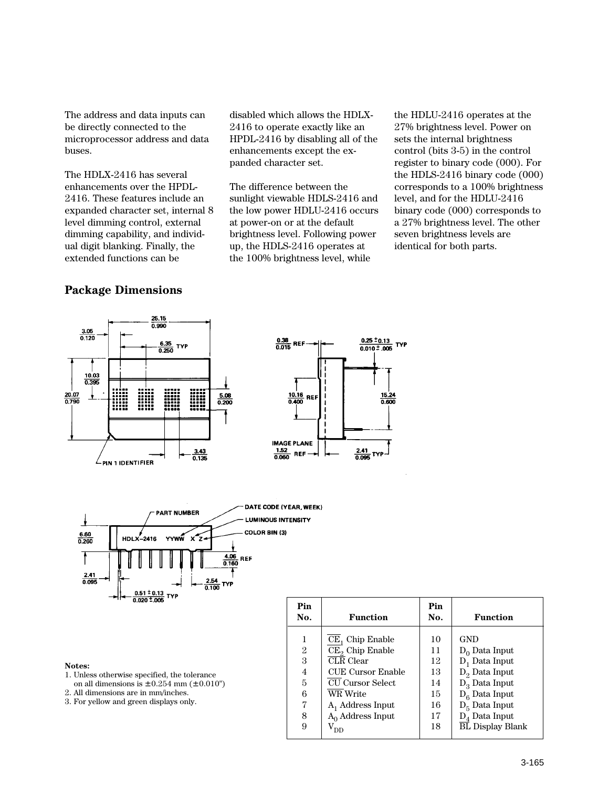The address and data inputs can be directly connected to the microprocessor address and data buses.

The HDLX-2416 has several enhancements over the HPDL-2416. These features include an expanded character set, internal 8 level dimming control, external dimming capability, and individual digit blanking. Finally, the extended functions can be

disabled which allows the HDLX-2416 to operate exactly like an HPDL-2416 by disabling all of the enhancements except the expanded character set.

The difference between the sunlight viewable HDLS-2416 and the low power HDLU-2416 occurs at power-on or at the default brightness level. Following power up, the HDLS-2416 operates at the 100% brightness level, while

the HDLU-2416 operates at the 27% brightness level. Power on sets the internal brightness control (bits 3-5) in the control register to binary code (000). For the HDLS-2416 binary code (000) corresponds to a 100% brightness level, and for the HDLU-2416 binary code (000) corresponds to a 27% brightness level. The other seven brightness levels are identical for both parts.

# **Package Dimensions**







#### **Notes:**

- 1. Unless otherwise specified, the tolerance
- on all dimensions is  $\pm$  0.254 mm ( $\pm$  0.010")
- 2. All dimensions are in mm/inches.
- 3. For yellow and green displays only.

| Pin<br>No.     | Function                 | Pin<br>No. | <b>Function</b>         |
|----------------|--------------------------|------------|-------------------------|
| $\overline{2}$ | $CE1$ Chip Enable        | 10         | GND                     |
|                | $CE2$ Chip Enable        | 11         | $D_0$ Data Input        |
| 3              | <b>CLR</b> Clear         | 12         | $D_1$ Data Input        |
| 4              | <b>CUE Cursor Enable</b> | 13         | $D_2$ Data Input        |
| 5              | <b>CU Cursor Select</b>  | 14         | $D_3$ Data Input        |
| 6              | WR Write                 | 15         | $D_6$ Data Input        |
| 7              | $A_1$ Address Input      | 16         | $D_5$ Data Input        |
| 8              | $A_0$ Address Input      | 17         | $D_4$ Data Input        |
| 9              | DD                       | 18         | <b>BL Display Blank</b> |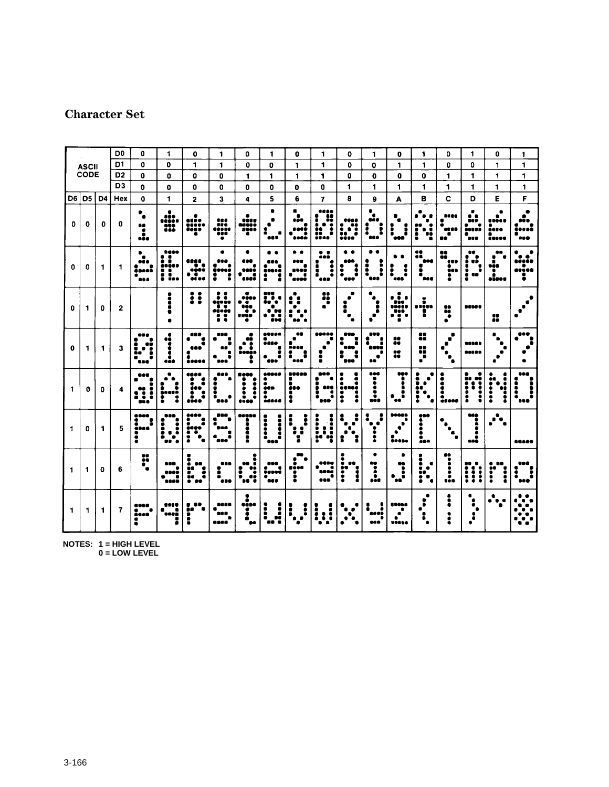# **Character Set**

|                |                |                | D <sub>0</sub>          | 0                                      | $\blacktriangleleft$                            | o                                     | 1                                    | 0                                          | 1                                          | 0                                  | 1                                     | o                                                | 1                                                                             | 0                                           | 1                                                           | $\mathbf 0$                       | 1                                              | 0                                       | 1                                  |
|----------------|----------------|----------------|-------------------------|----------------------------------------|-------------------------------------------------|---------------------------------------|--------------------------------------|--------------------------------------------|--------------------------------------------|------------------------------------|---------------------------------------|--------------------------------------------------|-------------------------------------------------------------------------------|---------------------------------------------|-------------------------------------------------------------|-----------------------------------|------------------------------------------------|-----------------------------------------|------------------------------------|
|                | <b>ASCII</b>   |                | D1                      | 0                                      | 0                                               | 1                                     | 1                                    | $\mathbf{0}$                               | o                                          | 1                                  | 1                                     | 0                                                | $\mathbf o$                                                                   | 1                                           | 1                                                           | o                                 | 0                                              | 1                                       | 1                                  |
|                | <b>CODE</b>    |                | D <sub>2</sub>          | 0                                      | 0                                               | 0                                     | $\mathbf{0}$                         | 1                                          | 1                                          | 1                                  | 1                                     | 0                                                | 0                                                                             | O                                           | 0                                                           | 1                                 | 1                                              | 1                                       | 1                                  |
|                |                |                | D <sub>3</sub>          | 0                                      | $\mathbf 0$                                     | 0                                     | O                                    | $\mathbf{0}$                               | $\mathbf o$                                | 0                                  | $\mathbf 0$                           | 1                                                | 1                                                                             | 1                                           | 1                                                           | 1                                 | 1                                              | 1                                       | 1                                  |
| D6             | D <sub>5</sub> | D <sub>4</sub> | Hex                     | $\mathbf 0$                            | 1                                               | $\overline{2}$                        | 3                                    | 4                                          | 5                                          | 6                                  | $\overline{ }$                        | 8                                                | 9                                                                             | A                                           | в                                                           | C                                 | D                                              | E                                       | F                                  |
| 0              | 0              | $\mathbf 0$    | 0                       | ۰<br>$\bullet$<br>80<br>٠<br>۰<br>eão  | <br>,,,,,<br>m                                  | ٠<br>uir<br>1111<br>1111<br>õ         | <br>iii<br>"!!!<br>T                 | a.<br><br>iiii<br>III                      | ۰<br>488                                   | iteri<br>K<br>oosë                 | 66<br>:<br>ŧē<br>i<br>ij.,            |                                                  | ٠<br>$\bullet$<br>68 Q<br>$\ddot{\phantom{a}}$<br>$\ddot{\phantom{a}}$<br>000 | :<br>i<br>ess                               | i:<br>٠<br>q                                                | 8886<br>ac nă<br>۰<br>no          | ٠<br>. .<br>900<br>$\bullet$<br>istat<br>ė<br> | ٠<br>٠<br><br>۰<br>éese<br><b>BODDS</b> | 99 B<br>600                        |
| 0              | 0              | 1              | 1                       | ٠<br><br><b>ass</b>                    | 9660<br>I<br><br>Ï.<br>i                        |                                       | 988<br>imi<br>!                      | anij<br><b>4600</b>                        | ះ                                          | ni<br>                             | 660<br>l<br>š<br>                     | $\ddot{\phantom{a}}$<br>$\ddot{\bullet}$<br>68 O | $\bullet$<br>$\ddot{\phantom{a}}$<br>$\frac{1}{2}$                            | $\bullet$<br>ß<br>$\ddot{\cdot}$<br>š<br>-- | 68<br>68<br>880<br>۰<br>noo                                 | 60<br>ōĎ<br>¢00<br><b>i</b>       | 88<br>B<br>:::<br>ě<br>68                      | 69<br>sãe<br>٠<br>.i                    | . .<br>,,,,,<br>٠<br>60 s 6 S<br>፡ |
| 0              | 1              | 0              | $\mathbf{2}$            |                                        | ē<br>i                                          | !!                                    | $\ddot{\cdot}$<br>$\frac{1}{2}$<br>Ħ | ۰<br>$\dddotsc$                            | 108<br>ě<br>ï,<br>$\bullet$<br>X<br>۰      | :<br>. .<br>ē.<br>٠<br>88          | ×                                     | ٠<br>ā<br>$\bullet$                              | ٠<br>٠<br>Ī<br>۰                                                              | TO B<br>·ï•                                 | ï<br>, 1980<br>ŧ                                            | 88<br>Ó٥<br>ō<br>۰                | <b>BEBOO</b>                                   | 8                                       |                                    |
| 0              | 1              | 1              | 3                       | - - -<br>68<br>ē<br>۰<br>888           | i<br>٠<br>å.                                    | 489<br>e<br>\$<br>180<br>۰<br><b></b> | - 10<br>808                          | Œ<br>.ī<br><b></b>                         | 60 Q O C<br>éáno<br>š<br>٠<br>             | œ<br>40 O O<br>:<br>1<br>          | 22222<br>š                            | nna<br>Ă<br>ē<br>888<br>I<br>ā<br>989            | 88 R<br>assa<br>٠<br>68                                                       | 28<br>H                                     | 95<br>õē<br>X<br>٠                                          | $\blacksquare$<br>п<br>۰<br>٠     | -----<br>86486                                 |                                         |                                    |
| 1              | o              | 0              | 4                       | 886<br>į<br>$\ddot{\cdot}$<br>3<br>aše | $\bullet$<br>$\bullet$<br>noath<br>۰<br>š       | 481<br>į<br>٠<br>٠<br>cice            | 888<br>õ<br>i<br>٠<br>888            | 80 S C<br>٠<br>İ<br>i<br>٠<br>٠<br><b></b> | saas<br>۰<br>ees<br>i<br>éstes             | 6680a<br>n<br><b>680</b><br>٠<br>: | eeo<br>:<br>680<br>Ď<br>٠<br>٠<br>840 | ؛<br>oen<br>80<br>۰<br>į                         | 808<br>٠<br>:<br>j.                                                           | $\ddot{\bullet}$<br>i<br>į<br>٠<br>œ        | 6<br>٠<br>Ŏ<br>$\bullet$<br>88<br>į<br>۰<br>٠<br>$\epsilon$ | ٠<br>õ<br>٠<br>ësoso              | ō<br>Ō0<br>$\ddot{\phantom{a}}$<br>1           | i:<br>::<br>j                           | 868<br>İ<br>۰<br>ē<br>ó<br>88 I    |
| $\mathbf{1}$   | Û              | 1              | 5                       | 686O<br>400C<br>۰<br>ŧ                 | nee<br>٠<br>$\ddot{\cdot}$<br>İ<br>٠<br>۰o<br>٠ | <br>i<br>inge<br>ā<br>٠<br>ō<br>À     | eso<br>ă<br>886<br>ā<br>ovo          | ,,,,,<br> <br> <br>                        | <br>:<br>898                               | ٠<br>÷<br>:<br>å<br>1<br>2         | $\ddot{\cdot}$<br>ļ<br>ï<br>٠         | :<br>۰<br>$\bullet$<br>в<br>2                    | ٠<br>٠<br>٠<br>$\ddot{\bullet}$                                               | <b></b><br>٠<br>٠<br>٠<br><b>ñosa</b>       | 680<br>0<br>٠<br>٠<br>٠<br>é80                              | ٠<br>4                            | 269<br>i<br>٠<br>aa2                           | $\ddot{\phantom{a}}$<br>٠<br>$\bullet$  | ----                               |
| $\blacksquare$ | 1              | 0              | 6                       | ::                                     | 988<br>4000<br>٠<br>1000                        | ē<br>68<br>88<br>۰<br>:<br>Ō8<br>     | <br>٠<br>ŏ<br>888                    | ÷<br>:<br>ē<br>٠ò<br>88                    | 800<br>$\sum_{i=1}^{n}$<br>٠<br><b>000</b> | 80<br>800C<br>$\ddot{\phantom{a}}$ | 000Q<br>٠<br>secă<br>ė<br>000         | ۰<br>œ<br>٠<br>88<br>$\ddot{\phantom{a}}$<br>1   | æ<br>۰<br>$\ddot{\bullet}$<br>eée                                             | ٠<br>98<br>i<br>۰<br>œ                      | ۵<br>ó<br>٠<br><br>i<br>٠                                   | 98<br>$\ddot{\phantom{a}}$<br>tět | I<br>$\ddot{\bullet}$                          | $\ddot{\bullet}$                        | 688<br>e<br>i<br>٠<br>880          |
| 1              | 1              | 1              | $\overline{\mathbf{r}}$ | 8868<br>٠<br>āton:<br>2                | <b>9960</b><br>٠<br><b>BOCO</b><br>Ē            | 68<br>œ<br>õ<br>٠                     | <b>BOOR</b><br>68 O<br>2002          | $\ddot{\cdot}$<br>i<br>ő<br>œ              | $\ddot{\phantom{a}}$                       | :<br>፡                             | i<br>į                                |                                                  | ٠<br>                                                                         | <b>20000</b><br>$\bullet$<br>٠<br>          | ٠<br>٠<br>٠                                                 | ٠                                 | ٠<br>$\bullet$<br>٠<br>٠                       |                                         |                                    |

**NOTES: 1 = HIGH LEVEL**

**0 = LOW LEVEL**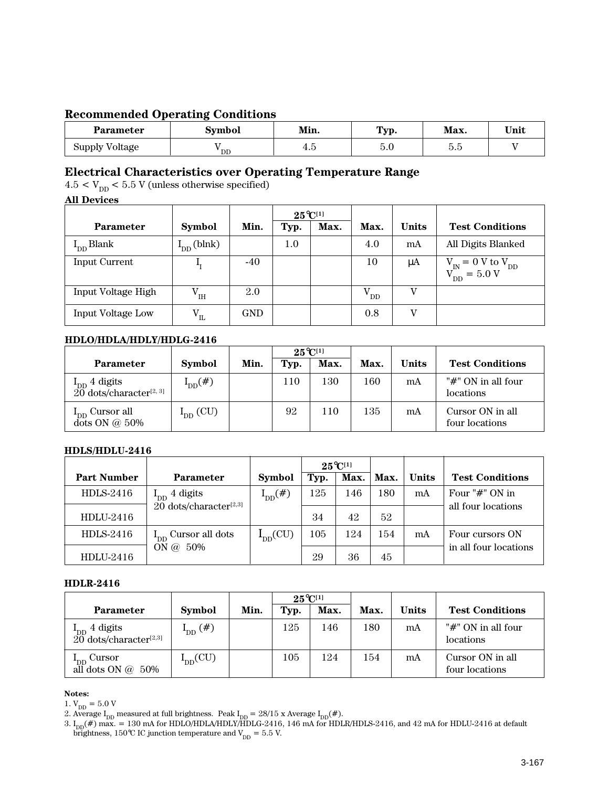# **Recommended Operating Conditions**

| <b>Parameter</b> | Symbol | Min.    | Typ.                         | Max.                         | Unit |  |
|------------------|--------|---------|------------------------------|------------------------------|------|--|
| Supply Voltage   | ' DD   | <br>7.U | $\tilde{\phantom{a}}$<br>b.u | $\tilde{\phantom{a}}$<br>ບ.ບ |      |  |

# **Electrical Characteristics over Operating Temperature Range**

 $4.5 < V_{\mathrm{DD}} < 5.5$  V (unless otherwise specified)

#### **All Devices**

|                    |                                  |            | $25^{\circ}C^{[1]}$ |      |              |              |                                                                                                                 |
|--------------------|----------------------------------|------------|---------------------|------|--------------|--------------|-----------------------------------------------------------------------------------------------------------------|
| <b>Parameter</b>   | <b>Symbol</b>                    | Min.       | Typ.                | Max. | Max.         | <b>Units</b> | <b>Test Conditions</b>                                                                                          |
| $I_{DD}$ Blank     | $I_{DD}$ (blnk)                  |            | 1.0                 |      | 4.0          | mA           | All Digits Blanked                                                                                              |
| Input Current      | ⊥т                               | $-40$      |                     |      | 10           | μA           | $\begin{array}{c} \rm{V}_{\rm{IN}}=0~\rm{V}~\rm{to}~\rm{V}_{\rm{DD}}\\ \rm{V}_{\rm{DD}}=5.0~\rm{V} \end{array}$ |
| Input Voltage High | ${\rm V}^{\phantom{2}}_{\rm IH}$ | 2.0        |                     |      | $\rm V_{DD}$ | V            |                                                                                                                 |
| Input Voltage Low  | $\rm V_{II}$                     | <b>GND</b> |                     |      | 0.8          | v            |                                                                                                                 |

### **HDLO/HDLA/HDLY/HDLG-2416**

|                                                               |               |      | $25^{\circ}C^{[1]}$ |      |      |       |                                    |
|---------------------------------------------------------------|---------------|------|---------------------|------|------|-------|------------------------------------|
| <b>Parameter</b>                                              | <b>Symbol</b> | Min. | Typ.                | Max. | Max. | Units | <b>Test Conditions</b>             |
| $I_{DD}$ 4 digits<br>$20$ dots/character <sup>[2, 3]</sup>    | $I_{DD}(\#)$  |      | 110                 | l 30 | 160  | mA    | "#" ON in all four<br>locations    |
| $\mathbf{1}_{\text{DD}}$ Cursor all<br>$\det$ ON $\omega$ 50% | $I_{DD}$ (CU) |      | 92                  | 110  | 135  | mA    | Cursor ON in all<br>four locations |

### **HDLS/HDLU-2416**

|                    |                                      |               |      | $25^{\circ}C^{[1]}$ |      |              |                        |
|--------------------|--------------------------------------|---------------|------|---------------------|------|--------------|------------------------|
| <b>Part Number</b> | <b>Parameter</b>                     | <b>Symbol</b> | Typ. | Max.                | Max. | <b>Units</b> | <b>Test Conditions</b> |
| HDLS-2416          | 4 digits                             | $I_{DD}(\#)$  | 125  | 146                 | 180  | mA           | Four " $#$ " ON in     |
| $HDLI-2416$        | $20$ dots/character <sup>[2,3]</sup> |               | 34   | 42                  | 52   |              | all four locations     |
| HDLS-2416          | $I_{DD}$ Cursor all dots             | $I_{DD}(CU)$  | 105  | 124                 | 154  | mA           | Four cursors ON        |
| HDLU-2416          | ON @ 50%                             |               | 29   | 36                  | 45   |              | in all four locations  |

#### **HDLR-2416**

|                                                               |               |      | $25^{\circ}C^{[1]}$ |      |      |              |                                     |
|---------------------------------------------------------------|---------------|------|---------------------|------|------|--------------|-------------------------------------|
| <b>Parameter</b>                                              | <b>Symbol</b> | Min. | Typ.                | Max. | Max. | <b>Units</b> | <b>Test Conditions</b>              |
| $\rm I_{DD}$ 4 digits<br>$20$ dots/character <sup>[2,3]</sup> | $I_{DD}(\#)$  |      | 125                 | 146  | 180  | mA           | " $#$ " ON in all four<br>locations |
| $I_{DD}$ Cursor<br>all dots ON $@$<br>50%                     | $I_{DD}(CU)$  |      | 105                 | 124  | 154  | mA           | Cursor ON in all<br>four locations  |

#### **Notes:**

 $1. \, \mathrm{V_{DD}} = 5.0 \, \mathrm{V}$ 

2. Average  $I_{DD}$  measured at full brightness. Peak  $I_{DD} = 28/15$  x Average  $I_{DD}(\text{#}).$ 

3.  $\rm I_{DD}(\#)$  max. = 130 mA for HDLO/HDLA/HDLY/HDLG-2416, 146 mA for HDLR/HDLS-2416, and 42 mA for HDLU-2416 at default brightness, 150°C IC junction temperature and  $V_{DD} = 5.5$  V.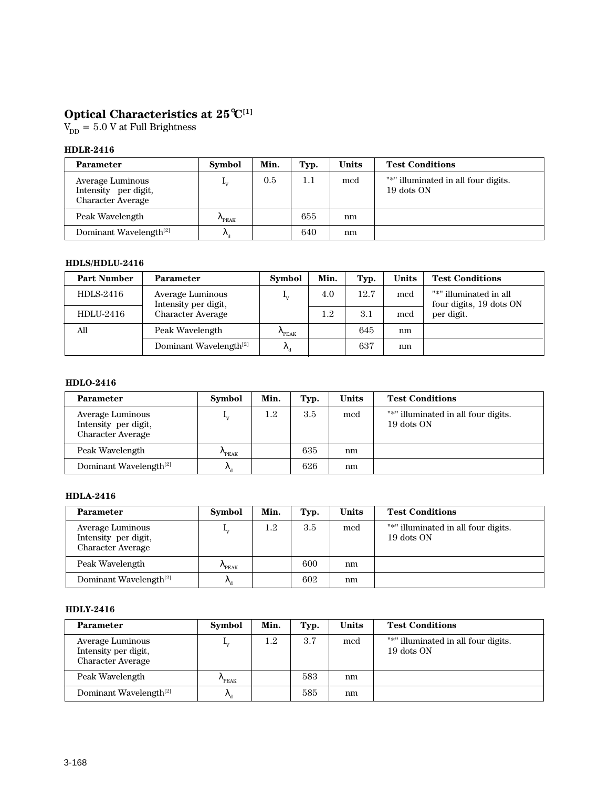# **Optical Characteristics at 25**°**C[1]**

 $V_{DD} = 5.0 V$  at Full Brightness

### **HDLR-2416**

| <b>Parameter</b>                                                     | Symbol                   | Min. | Typ.    | <b>Units</b> | <b>Test Conditions</b>                            |
|----------------------------------------------------------------------|--------------------------|------|---------|--------------|---------------------------------------------------|
| Average Luminous<br>Intensity per digit,<br><b>Character Average</b> |                          | 0.5  | $1.1\,$ | med          | "*" illuminated in all four digits.<br>19 dots ON |
| Peak Wavelength                                                      | PEAK <sup></sup>         |      | 655     | nm           |                                                   |
| Dominant Wavelength <sup>[2]</sup>                                   | $\mathcal{L}_{\text{d}}$ |      | 640     | nm           |                                                   |

## **HDLS/HDLU-2416**

| <b>Part Number</b> | <b>Parameter</b>                         | <b>Symbol</b>             | Min. | Typ. | <b>Units</b> | <b>Test Conditions</b>                            |
|--------------------|------------------------------------------|---------------------------|------|------|--------------|---------------------------------------------------|
| $HDLS-2416$        | Average Luminous<br>Intensity per digit, | $\mathbf{I}_{\mathrm{V}}$ | 4.0  | 12.7 | mcd          | "*" illuminated in all<br>four digits, 19 dots ON |
| HDLU-2416          | <b>Character Average</b>                 |                           | 1.2  | 3.1  | mcd          | per digit.                                        |
| All                | Peak Wavelength                          | $n_{PEAK}$                |      | 645  | nm           |                                                   |
|                    | Dominant Wavelength <sup>[2]</sup>       | Λ,                        |      | 637  | nm           |                                                   |

#### **HDLO-2416**

| <b>Parameter</b>                                                     | <b>Symbol</b>       | Min.    | Typ. | <b>Units</b> | <b>Test Conditions</b>                            |
|----------------------------------------------------------------------|---------------------|---------|------|--------------|---------------------------------------------------|
| Average Luminous<br>Intensity per digit,<br><b>Character Average</b> | $\mathbf{I}_{\tau}$ | $1.2\,$ | 3.5  | mcd          | "*" illuminated in all four digits.<br>19 dots ON |
| Peak Wavelength                                                      | $n_{PEAK}$          |         | 635  | nm           |                                                   |
| Dominant Wavelength <sup>[2]</sup>                                   | $\kappa_{\rm a}$    |         | 626  | nm           |                                                   |

#### **HDLA-2416**

| <b>Parameter</b>                                                     | <b>Symbol</b>    | Min. | Typ. | Units | <b>Test Conditions</b>                            |
|----------------------------------------------------------------------|------------------|------|------|-------|---------------------------------------------------|
| Average Luminous<br>Intensity per digit,<br><b>Character Average</b> |                  | 1.2  | 3.5  | med   | "*" illuminated in all four digits.<br>19 dots ON |
| Peak Wavelength                                                      | PEAK <sup></sup> |      | 600  | nm    |                                                   |
| Dominant Wavelength <sup>[2]</sup>                                   | $\kappa_a$       |      | 602  | nm    |                                                   |

#### **HDLY-2416**

| <b>Parameter</b>                                                     | <b>Symbol</b>             | Min. | Typ. | Units | <b>Test Conditions</b>                            |
|----------------------------------------------------------------------|---------------------------|------|------|-------|---------------------------------------------------|
| Average Luminous<br>Intensity per digit,<br><b>Character Average</b> | $\mathbf{I}_{\mathrm{V}}$ | 1.2  | 3.7  | mcd   | "*" illuminated in all four digits.<br>19 dots ON |
| Peak Wavelength                                                      | $n_{PEAK}$                |      | 583  | nm    |                                                   |
| Dominant Wavelength <sup>[2]</sup>                                   | $\mathcal{R}_{\rm d}$     |      | 585  | nm    |                                                   |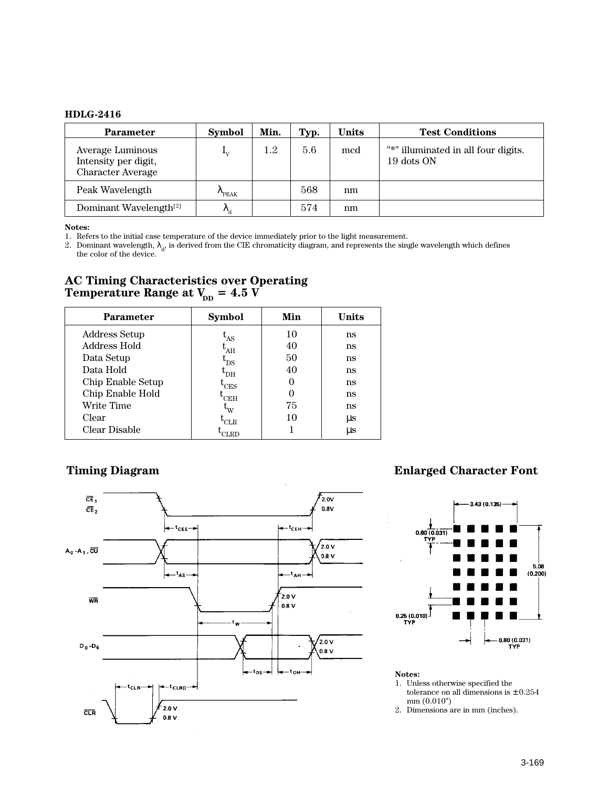#### **HDLG-2416**

| <b>Parameter</b>                                                     | <b>Symbol</b>             | Min.    | Typ. | <b>Units</b> | <b>Test Conditions</b>                            |
|----------------------------------------------------------------------|---------------------------|---------|------|--------------|---------------------------------------------------|
| Average Luminous<br>Intensity per digit,<br><b>Character Average</b> | $\mathbf{I}_{\mathbf{V}}$ | $1.2\,$ | 5.6  | mcd          | "*" illuminated in all four digits.<br>19 dots ON |
| Peak Wavelength                                                      | PEAK                      |         | 568  | nm           |                                                   |
| Dominant Wavelength <sup>[2]</sup>                                   | $\mathcal{N}_d$           |         | 574  | nm           |                                                   |

#### **Notes:**

1. Refers to the initial case temperature of the device immediately prior to the light measurement.

2. Dominant wavelength,  $\lambda_d$ , is derived from the CIE chromaticity diagram, and represents the single wavelength which defines the color of the device.

# **AC Timing Characteristics over Operating**  $\bf Temperature$   $\bf Range$  at  $\rm V_{\rm DD}$  =  $\bf 4.5$   $\rm V$

| <b>Parameter</b>     | <b>Symbol</b>              | Min | Units   |
|----------------------|----------------------------|-----|---------|
| <b>Address Setup</b> | $\mathbf{L}_{\mathrm{AS}}$ | 10  | ns      |
| Address Hold         | $^{\mathrm{L}}$ AH         | 40  | ns      |
| Data Setup           | $\rm t_{DS}$               | 50  | ns      |
| Data Hold            | └DН                        | 40  | ns      |
| Chip Enable Setup    | $^{\mathrm{L}}$ CES        |     | ns      |
| Chip Enable Hold     | <sup>'</sup> CEH           | O   | ns      |
| Write Time           | $\mathsf{u}_\mathrm{W}$    | 75  | ns      |
| Clear                | <b>CLR</b>                 | 10  | μs      |
| Clear Disable        | "LRD                       |     | $\mu s$ |



# **Timing Diagram Enlarged Character Font**



#### **Notes:**

- 1. Unless otherwise specified the tolerance on all dimensions is  $\pm\,0.254$ mm (0.010")
- 2. Dimensions are in mm (inches).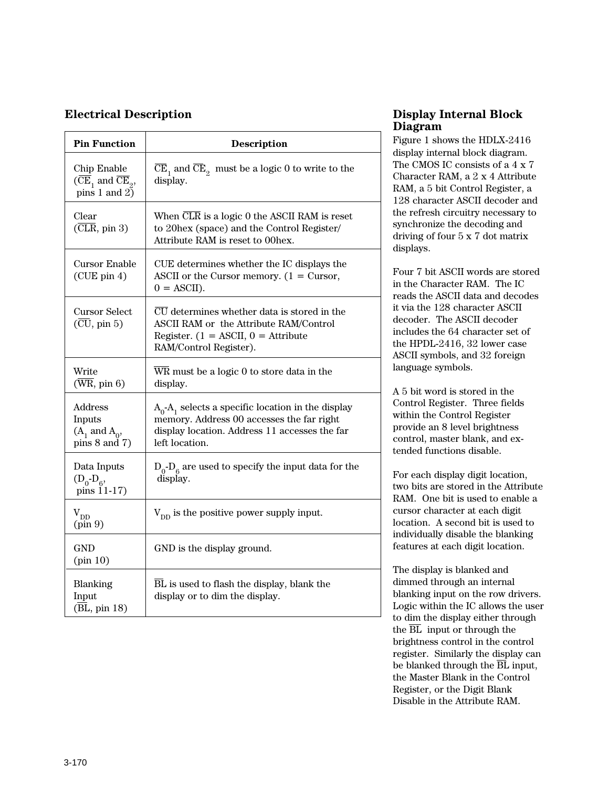# **Electrical Description**

| <b>Pin Function</b>                                                  | <b>Description</b>                                                                                                                                                               |
|----------------------------------------------------------------------|----------------------------------------------------------------------------------------------------------------------------------------------------------------------------------|
| Chip Enable<br>$(CE_1$ and $\overline{CE}_2$ ,<br>pins $1$ and $2$ ) | $\overline{\text{CE}}_1$ and $\overline{\text{CE}}_2$ must be a logic 0 to write to the<br>display.                                                                              |
| Clear<br>$(\overline{\text{CLR}}, \text{pin } 3)$                    | When CLR is a logic 0 the ASCII RAM is reset<br>to 20hex (space) and the Control Register/<br>Attribute RAM is reset to 00hex.                                                   |
| <b>Cursor Enable</b><br>$(CUE$ pin 4)                                | CUE determines whether the IC displays the<br>ASCII or the Cursor memory. $(1 =$ Cursor,<br>$0 = ASCII$ ).                                                                       |
| Cursor Select<br>$(\overline{\text{CU}}, \text{pin } 5)$             | CU determines whether data is stored in the<br>ASCII RAM or the Attribute RAM/Control<br>Register. $(1 = ASCII, 0 =Attribute$<br>RAM/Control Register).                          |
| Write<br>$(\overline{\text{WR}}, \text{pin } 6)$                     | WR must be a logic 0 to store data in the<br>display.                                                                                                                            |
| Address<br>Inputs<br>$(A_1 \text{ and } A_0)$<br>pins $8$ and $7)$   | $A_0$ -A <sub>1</sub> selects a specific location in the display<br>memory. Address 00 accesses the far right<br>display location. Address 11 accesses the far<br>left location. |
| Data Inputs<br>$(D_0 - D_6,$<br>pins $11-17$ )                       | $D_0$ - $D_6$ are used to specify the input data for the<br>display.                                                                                                             |
| $V_{\text{DD}}$<br>(pin 9)                                           | $V_{DD}$ is the positive power supply input.                                                                                                                                     |
| GND<br>(pin 10)                                                      | GND is the display ground.                                                                                                                                                       |
| Blanking<br>Input<br>(BL, pin 18)                                    | BL is used to flash the display, blank the<br>display or to dim the display.                                                                                                     |

# **Display Internal Block Diagram**

Figure 1 shows the HDLX-2416 display internal block diagram. The CMOS IC consists of a 4 x 7 Character RAM, a 2 x 4 Attribute RAM, a 5 bit Control Register, a 128 character ASCII decoder and the refresh circuitry necessary to synchronize the decoding and driving of four 5 x 7 dot matrix displays.

Four 7 bit ASCII words are stored in the Character RAM. The IC reads the ASCII data and decodes it via the 128 character ASCII decoder. The ASCII decoder includes the 64 character set of the HPDL-2416, 32 lower case ASCII symbols, and 32 foreign language symbols.

A 5 bit word is stored in the Control Register. Three fields within the Control Register provide an 8 level brightness control, master blank, and extended functions disable.

For each display digit location, two bits are stored in the Attribute RAM. One bit is used to enable a cursor character at each digit location. A second bit is used to individually disable the blanking features at each digit location.

The display is blanked and dimmed through an internal blanking input on the row drivers. Logic within the IC allows the user to dim the display either through the  $\overline{BL}$  input or through the brightness control in the control register. Similarly the display can be blanked through the  $\overline{BL}$  input, the Master Blank in the Control Register, or the Digit Blank Disable in the Attribute RAM.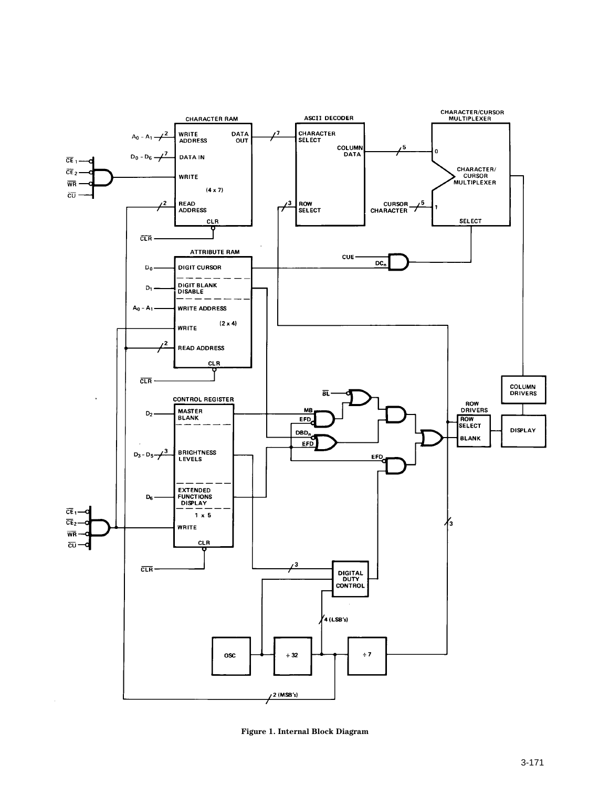

**Figure 1. Internal Block Diagram**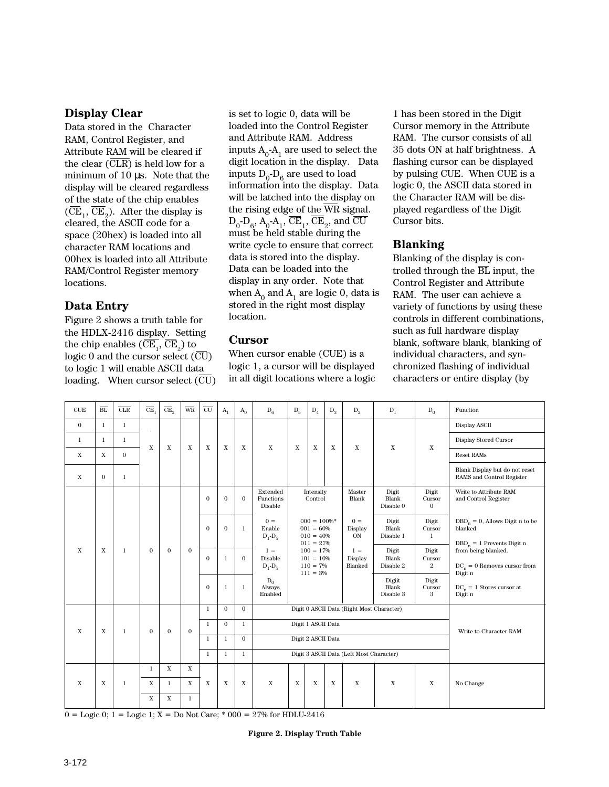# **Display Clear**

Data stored in the Character RAM, Control Register, and Attribute RAM will be cleared if the clear  $(\overline{\text{CLR}})$  is held low for a minimum of 10 µs. Note that the display will be cleared regardless of the state of the chip enables  $(CE<sub>1</sub>, CE<sub>2</sub>)$ . After the display is cleared, the ASCII code for a space (20hex) is loaded into all character RAM locations and 00hex is loaded into all Attribute RAM/Control Register memory locations.

# **Data Entry**

Figure 2 shows a truth table for the HDLX-2416 display. Setting the chip enables  $(CE_1, CE_2)$  to logic 0 and the cursor select (CU) to logic 1 will enable ASCII data loading. When cursor select (CU)

is set to logic 0, data will be loaded into the Control Register and Attribute RAM. Address inputs  $A_0$ - $A_1$  are used to select the digit location in the display. Data inputs  $D_0$ - $D_6$  are used to load information into the display. Data will be latched into the display on the rising edge of the WR signal.  $D_0$ - $D_6$ ,  $A_0$ - $A_1$ ,  $CE_1$ ,  $CE_2$ , and CU must be held stable during the write cycle to ensure that correct data is stored into the display. Data can be loaded into the display in any order. Note that when  $A_0$  and  $A_1$  are logic 0, data is stored in the right most display location.

# **Cursor**

When cursor enable (CUE) is a logic 1, a cursor will be displayed in all digit locations where a logic

1 has been stored in the Digit Cursor memory in the Attribute RAM. The cursor consists of all 35 dots ON at half brightness. A flashing cursor can be displayed by pulsing CUE. When CUE is a logic 0, the ASCII data stored in the Character RAM will be displayed regardless of the Digit Cursor bits.

# **Blanking**

Blanking of the display is controlled through the  $\overline{BL}$  input, the Control Register and Attribute RAM. The user can achieve a variety of functions by using these controls in different combinations, such as full hardware display blank, software blank, blanking of individual characters, and synchronized flashing of individual characters or entire display (by

| CUE          | $\overline{\text{BL}}$ | CLR          | $\overline{\text{CE}}$ , | $\overline{\text{CE}}_2$ | $\overline{\text{WR}}$ | $\overline{\rm\scriptstyle{CU}}$ | $A_1$        | $A_0$        | $D_6$                            | $D_5$                                                                 | $D_4$                                                      | $D_3$                     | $D_2$                       | $D_1$                        | $D_0$                             | Function                                                         |  |  |  |             |                        |                             |                                 |                                                                                      |
|--------------|------------------------|--------------|--------------------------|--------------------------|------------------------|----------------------------------|--------------|--------------|----------------------------------|-----------------------------------------------------------------------|------------------------------------------------------------|---------------------------|-----------------------------|------------------------------|-----------------------------------|------------------------------------------------------------------|--|--|--|-------------|------------------------|-----------------------------|---------------------------------|--------------------------------------------------------------------------------------|
| $\mathbf{0}$ | $\mathbf{1}$           | $\mathbf{1}$ | à,                       |                          |                        |                                  |              |              |                                  |                                                                       |                                                            |                           |                             |                              |                                   | Display ASCII                                                    |  |  |  |             |                        |                             |                                 |                                                                                      |
| 1            | $\mathbf{1}$           | $\mathbf{1}$ | X                        | $\mathbf X$              | X                      | $\mathbf X$                      | X            | $\mathbf X$  | $\mathbf X$                      | $\mathbf X$                                                           | $\mathbf X$                                                | $\boldsymbol{\mathrm{X}}$ | $\mathbf X$                 | X                            | $\mathbf X$                       | Display Stored Cursor                                            |  |  |  |             |                        |                             |                                 |                                                                                      |
| $\mathbf X$  | X                      | $\mathbf{0}$ |                          |                          |                        |                                  |              |              |                                  |                                                                       |                                                            |                           |                             |                              |                                   | <b>Reset RAMs</b>                                                |  |  |  |             |                        |                             |                                 |                                                                                      |
| $\mathbf X$  | $\mathbf{0}$           | $\mathbf{1}$ |                          |                          |                        |                                  |              |              |                                  |                                                                       |                                                            |                           |                             |                              |                                   | Blank Display but do not reset<br>RAMS and Control Register      |  |  |  |             |                        |                             |                                 |                                                                                      |
|              |                        |              |                          |                          |                        | $\Omega$                         | $\Omega$     | $\Omega$     | Extended<br>Functions<br>Disable | Intensity<br>Control<br>$000 = 100\%$ *<br>$001 = 60%$<br>$010 = 40%$ |                                                            |                           |                             |                              |                                   |                                                                  |  |  |  |             |                        | Digit<br>Blank<br>Disable 0 | Digit<br>Cursor<br>$\mathbf{0}$ | Write to Attribute RAM<br>and Control Register                                       |
|              |                        |              |                          |                          |                        | $\mathbf{0}$                     | $\mathbf{0}$ | 1            | $0 =$<br>Enable<br>$D_1 - D_5$   |                                                                       |                                                            |                           |                             |                              |                                   |                                                                  |  |  |  | $011 = 27%$ | $0 =$<br>Display<br>ON | Digit<br>Blank<br>Disable 1 | Digit<br>Cursor<br>$\mathbf{1}$ | $\mathrm{DBD}_n = 0$ Allows Digit n to be<br>blanked<br>$DBD_n = 1$ Prevents Digit n |
| $\mathbf{X}$ | $\mathbf{X}$           | $\mathbf{1}$ | $\mathbf{0}$             | $\mathbf{0}$             | $\mathbf{0}$           | $\mathbf{0}$                     | $\mathbf{1}$ | $\Omega$     | $1 =$<br>Disable<br>$D_1 - D_5$  |                                                                       | $100 = 17\%$<br>$101 = 10\%$<br>$110 = 7\%$<br>$111 = 3\%$ |                           | $1 =$<br>Display<br>Blanked | Digit<br>Blank<br>Disable 2  | Digit<br>Cursor<br>$\overline{2}$ | from being blanked.<br>$DC_n = 0$ Removes cursor from<br>Digit n |  |  |  |             |                        |                             |                                 |                                                                                      |
|              |                        |              |                          |                          |                        | $\mathbf{0}$                     | $\mathbf{1}$ | $\mathbf{1}$ | $D_0$<br>Always<br>Enabled       |                                                                       |                                                            |                           |                             | Digiit<br>Blank<br>Disable 3 | Digit<br>Cursor<br>3              | $DC_n = 1$ Stores cursor at<br>Digit n                           |  |  |  |             |                        |                             |                                 |                                                                                      |
|              |                        |              |                          |                          |                        | $\mathbf{1}$                     | $\mathbf{0}$ | $\mathbf{0}$ |                                  | Digit 0 ASCII Data (Right Most Character)                             |                                                            |                           |                             |                              |                                   |                                                                  |  |  |  |             |                        |                             |                                 |                                                                                      |
| $\mathbf X$  | $\mathbf X$            | $\mathbf{1}$ | $\mathbf{0}$             | $\mathbf{0}$             | $\mathbf{0}$           | $\mathbf{1}$                     | $\mathbf{0}$ | $\mathbf{1}$ | Digit 1 ASCII Data               |                                                                       |                                                            |                           |                             | Write to Character RAM       |                                   |                                                                  |  |  |  |             |                        |                             |                                 |                                                                                      |
|              |                        |              |                          |                          |                        | $\mathbf{1}$                     | $\mathbf{1}$ | $\mathbf{0}$ |                                  | Digit 2 ASCII Data                                                    |                                                            |                           |                             |                              |                                   |                                                                  |  |  |  |             |                        |                             |                                 |                                                                                      |
|              |                        |              |                          |                          |                        | 1                                | $\mathbf{1}$ | $\mathbf{1}$ |                                  | Digit 3 ASCII Data (Left Most Character)                              |                                                            |                           |                             |                              |                                   |                                                                  |  |  |  |             |                        |                             |                                 |                                                                                      |
|              |                        |              | $\mathbf{1}$             | $\mathbf X$              | $\mathbf X$            |                                  |              |              |                                  |                                                                       |                                                            |                           |                             |                              |                                   |                                                                  |  |  |  |             |                        |                             |                                 |                                                                                      |
| $\mathbf X$  | $\mathbf X$            | $\mathbf{1}$ | $\mathbf X$              | $\mathbf{1}$             | $\mathbf X$            | $\mathbf X$                      | $\mathbf X$  | $\mathbf X$  | $\mathbf X$                      | $\mathbf X$                                                           | $\mathbf X$                                                | $\mathbf X$               | $\mathbf X$                 | $\mathbf X$                  | X                                 | No Change                                                        |  |  |  |             |                        |                             |                                 |                                                                                      |
|              |                        |              | $\mathbf X$              | $\mathbf X$              | 1                      |                                  |              |              |                                  |                                                                       |                                                            |                           |                             |                              |                                   |                                                                  |  |  |  |             |                        |                             |                                 |                                                                                      |

 $0 =$  Logic 0; 1 = Logic 1; X = Do Not Care; \* 000 = 27% for HDLU-2416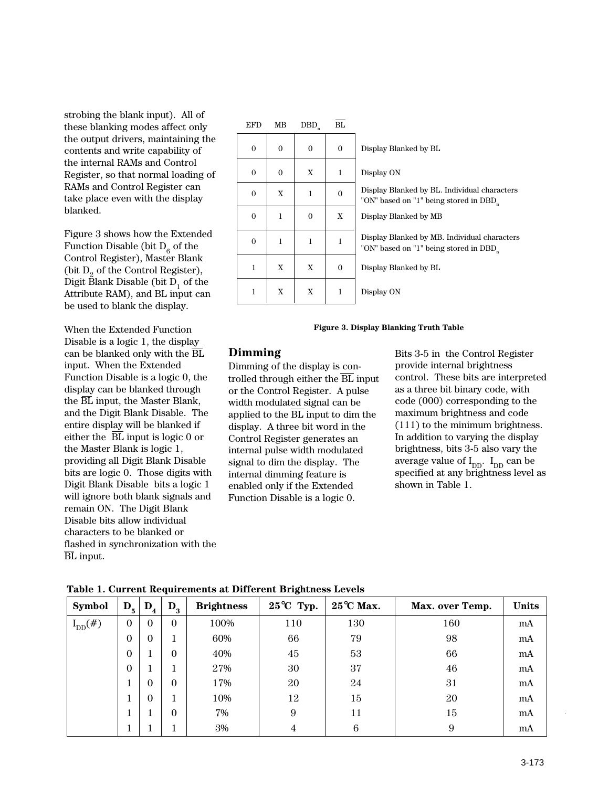strobing the blank input). All of these blanking modes affect only the output drivers, maintaining the contents and write capability of the internal RAMs and Control Register, so that normal loading of RAMs and Control Register can take place even with the display blanked.

Figure 3 shows how the Extended Function Disable (bit  $D_6$  of the Control Register), Master Blank (bit  $D_2$  of the Control Register), Digit Blank Disable (bit  $D_1$  of the Attribute RAM), and BL input can be used to blank the display.

When the Extended Function Disable is a logic 1, the display can be blanked only with the BL input. When the Extended Function Disable is a logic 0, the display can be blanked through the BL input, the Master Blank, and the Digit Blank Disable. The entire display will be blanked if either the  $\overline{BL}$  input is logic 0 or the Master Blank is logic 1, providing all Digit Blank Disable bits are logic 0. Those digits with Digit Blank Disable bits a logic 1 will ignore both blank signals and remain ON. The Digit Blank Disable bits allow individual characters to be blanked or flashed in synchronization with the BL input.

| <b>EFD</b>   | MB           | DBD          | BL           |                                                                                       |
|--------------|--------------|--------------|--------------|---------------------------------------------------------------------------------------|
| $\mathbf{0}$ | $\mathbf{0}$ | $\mathbf{0}$ | $\mathbf{0}$ | Display Blanked by BL                                                                 |
| $\mathbf{0}$ | $\Omega$     | X            | $\mathbf{1}$ | Display ON                                                                            |
| $\Omega$     | X            | 1            | $\mathbf{0}$ | Display Blanked by BL. Individual characters<br>"ON" based on "1" being stored in DBD |
| $\mathbf{0}$ | 1            | $\Omega$     | X            | Display Blanked by MB                                                                 |
| $\mathbf{0}$ | 1            | 1            | $\mathbf{1}$ | Display Blanked by MB. Individual characters<br>"ON" based on "1" being stored in DBD |
| 1            | X            | $\mathbf{x}$ | $\mathbf{0}$ | Display Blanked by BL                                                                 |
| 1            | X            | X            | 1            | Display ON                                                                            |
|              |              |              |              |                                                                                       |

#### **Figure 3. Display Blanking Truth Table**

#### **Dimming**

Dimming of the display is controlled through either the  $\overline{BL}$  input or the Control Register. A pulse width modulated signal can be applied to the BL input to dim the display. A three bit word in the Control Register generates an internal pulse width modulated signal to dim the display. The internal dimming feature is enabled only if the Extended Function Disable is a logic 0.

Bits 3-5 in the Control Register provide internal brightness control. These bits are interpreted as a three bit binary code, with code (000) corresponding to the maximum brightness and code (111) to the minimum brightness. In addition to varying the display brightness, bits 3-5 also vary the average value of  $I_{DD}$ .  $I_{DD}$  can be specified at any brightness level as shown in Table 1.

| <b>Symbol</b>       | $D_{5}$  | $\mathbf{D_{4}}$ | $D_{3}$  | <b>Brightness</b> | $25^{\circ}$ C Typ. | $25^{\circ}$ C Max. | Max. over Temp. | <b>Units</b> |
|---------------------|----------|------------------|----------|-------------------|---------------------|---------------------|-----------------|--------------|
| $L_{\text{DD}}(\#)$ | 0        | $\Omega$         | $\Omega$ | 100%              | 110                 | 130                 | 160             | mA           |
|                     | $\Omega$ | $\Omega$         |          | 60%               | 66                  | 79                  | 98              | mA           |
|                     | 0        |                  | $\Omega$ | 40%               | 45                  | 53                  | 66              | mA           |
|                     | 0        |                  |          | 27%               | 30                  | 37                  | 46              | mA           |
|                     |          | $\Omega$         | $\Omega$ | 17%               | 20                  | 24                  | 31              | mA           |
|                     |          | $\Omega$         |          | 10%               | 12                  | 15                  | 20              | mA           |
|                     |          |                  | 0        | 7%                | 9                   | 11                  | 15              | mA           |
|                     |          |                  |          | 3%                |                     | 6                   | 9               | mA           |

|  |  | Table 1. Current Requirements at Different Brightness Levels |  |  |  |
|--|--|--------------------------------------------------------------|--|--|--|
|--|--|--------------------------------------------------------------|--|--|--|